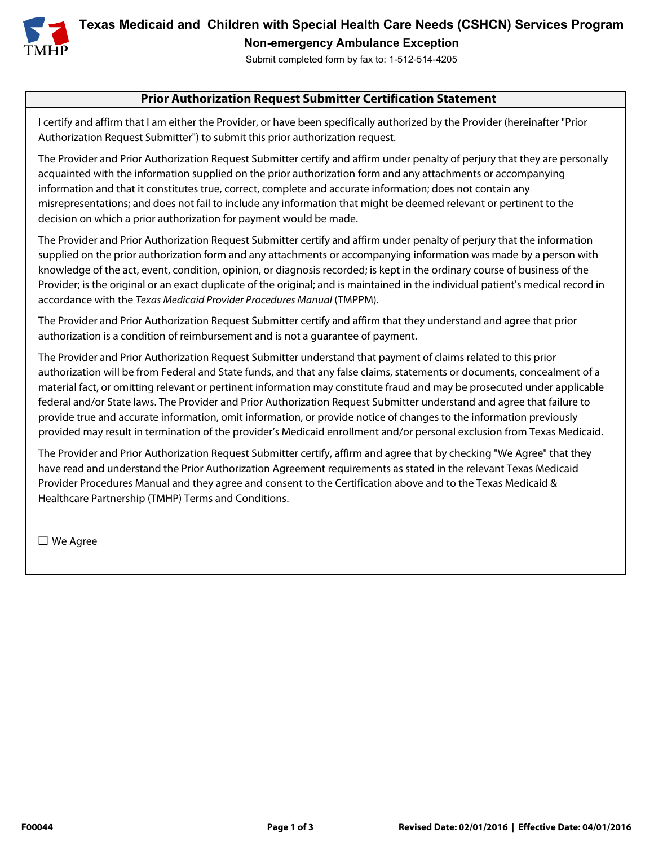

**Texas Medicaid and Children with Special Health Care Needs (CSHCN) Services Program Non-emergency Ambulance Exception** 

Submit completed form by fax to: 1-512-514-4205

## **Prior Authorization Request Submitter Certification Statement**

I certify and affirm that I am either the Provider, or have been specifically authorized by the Provider (hereinafter "Prior Authorization Request Submitter") to submit this prior authorization request.

The Provider and Prior Authorization Request Submitter certify and affirm under penalty of perjury that they are personally acquainted with the information supplied on the prior authorization form and any attachments or accompanying information and that it constitutes true, correct, complete and accurate information; does not contain any misrepresentations; and does not fail to include any information that might be deemed relevant or pertinent to the decision on which a prior authorization for payment would be made.

The Provider and Prior Authorization Request Submitter certify and affirm under penalty of perjury that the information supplied on the prior authorization form and any attachments or accompanying information was made by a person with knowledge of the act, event, condition, opinion, or diagnosis recorded; is kept in the ordinary course of business of the Provider; is the original or an exact duplicate of the original; and is maintained in the individual patient's medical record in accordance with the Texas Medicaid Provider Procedures Manual (TMPPM).

The Provider and Prior Authorization Request Submitter certify and affirm that they understand and agree that prior authorization is a condition of reimbursement and is not a guarantee of payment.

The Provider and Prior Authorization Request Submitter understand that payment of claims related to this prior authorization will be from Federal and State funds, and that any false claims, statements or documents, concealment of a material fact, or omitting relevant or pertinent information may constitute fraud and may be prosecuted under applicable federal and/or State laws. The Provider and Prior Authorization Request Submitter understand and agree that failure to provide true and accurate information, omit information, or provide notice of changes to the information previously provided may result in termination of the provider's Medicaid enrollment and/or personal exclusion from Texas Medicaid.

The Provider and Prior Authorization Request Submitter certify, affirm and agree that by checking "We Agree" that they have read and understand the Prior Authorization Agreement requirements as stated in the relevant Texas Medicaid Provider Procedures Manual and they agree and consent to the Certification above and to the Texas Medicaid & Healthcare Partnership (TMHP) Terms and Conditions.

□ We Agree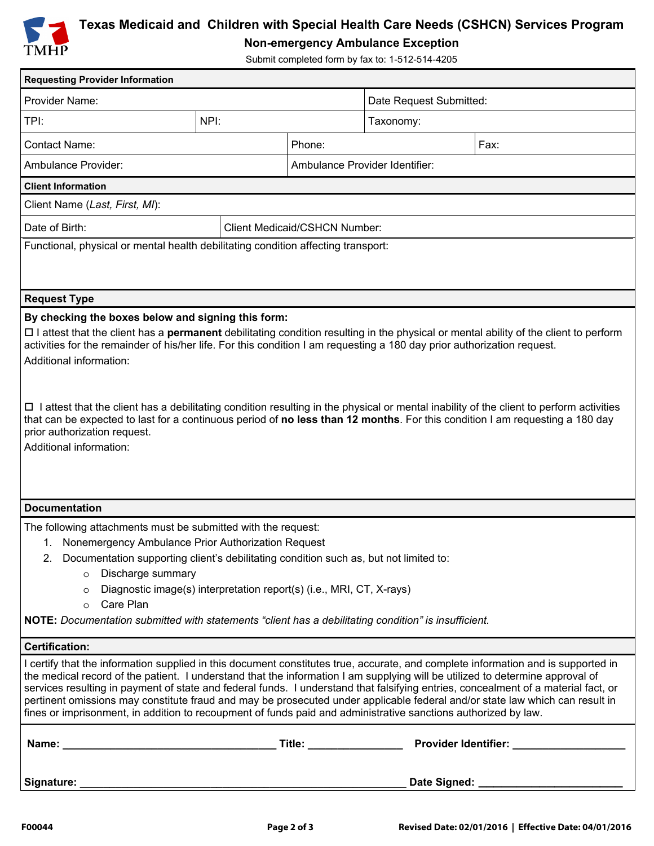

## **Texas Medicaid and Children with Special Health Care Needs (CSHCN) Services Program**

**Non-emergency Ambulance Exception** 

Submit completed form by fax to: 1-512-514-4205

| <b>Requesting Provider Information</b>                                                                                                                                                                                                                                                                                                                                                                                                                                                                                                                                                                                                                     |  |        |                                      |                                           |  |
|------------------------------------------------------------------------------------------------------------------------------------------------------------------------------------------------------------------------------------------------------------------------------------------------------------------------------------------------------------------------------------------------------------------------------------------------------------------------------------------------------------------------------------------------------------------------------------------------------------------------------------------------------------|--|--------|--------------------------------------|-------------------------------------------|--|
| Provider Name:                                                                                                                                                                                                                                                                                                                                                                                                                                                                                                                                                                                                                                             |  |        | Date Request Submitted:              |                                           |  |
| NPI:<br>TPI:                                                                                                                                                                                                                                                                                                                                                                                                                                                                                                                                                                                                                                               |  |        | Taxonomy:                            |                                           |  |
| <b>Contact Name:</b>                                                                                                                                                                                                                                                                                                                                                                                                                                                                                                                                                                                                                                       |  | Phone: | Fax:                                 |                                           |  |
| Ambulance Provider:                                                                                                                                                                                                                                                                                                                                                                                                                                                                                                                                                                                                                                        |  |        | Ambulance Provider Identifier:       |                                           |  |
| <b>Client Information</b>                                                                                                                                                                                                                                                                                                                                                                                                                                                                                                                                                                                                                                  |  |        |                                      |                                           |  |
| Client Name (Last, First, MI):                                                                                                                                                                                                                                                                                                                                                                                                                                                                                                                                                                                                                             |  |        |                                      |                                           |  |
| Date of Birth:                                                                                                                                                                                                                                                                                                                                                                                                                                                                                                                                                                                                                                             |  |        | <b>Client Medicaid/CSHCN Number:</b> |                                           |  |
| Functional, physical or mental health debilitating condition affecting transport:                                                                                                                                                                                                                                                                                                                                                                                                                                                                                                                                                                          |  |        |                                      |                                           |  |
|                                                                                                                                                                                                                                                                                                                                                                                                                                                                                                                                                                                                                                                            |  |        |                                      |                                           |  |
|                                                                                                                                                                                                                                                                                                                                                                                                                                                                                                                                                                                                                                                            |  |        |                                      |                                           |  |
| <b>Request Type</b><br>By checking the boxes below and signing this form:                                                                                                                                                                                                                                                                                                                                                                                                                                                                                                                                                                                  |  |        |                                      |                                           |  |
| activities for the remainder of his/her life. For this condition I am requesting a 180 day prior authorization request.<br>Additional information:<br>$\Box$ I attest that the client has a debilitating condition resulting in the physical or mental inability of the client to perform activities<br>that can be expected to last for a continuous period of no less than 12 months. For this condition I am requesting a 180 day<br>prior authorization request.<br>Additional information:                                                                                                                                                            |  |        |                                      |                                           |  |
| <b>Documentation</b>                                                                                                                                                                                                                                                                                                                                                                                                                                                                                                                                                                                                                                       |  |        |                                      |                                           |  |
| The following attachments must be submitted with the request:<br>1.                                                                                                                                                                                                                                                                                                                                                                                                                                                                                                                                                                                        |  |        |                                      |                                           |  |
| Nonemergency Ambulance Prior Authorization Request<br>2. Documentation supporting client's debilitating condition such as, but not limited to:                                                                                                                                                                                                                                                                                                                                                                                                                                                                                                             |  |        |                                      |                                           |  |
| o Discharge summary                                                                                                                                                                                                                                                                                                                                                                                                                                                                                                                                                                                                                                        |  |        |                                      |                                           |  |
| Diagnostic image(s) interpretation report(s) (i.e., MRI, CT, X-rays)<br>$\circ$                                                                                                                                                                                                                                                                                                                                                                                                                                                                                                                                                                            |  |        |                                      |                                           |  |
| Care Plan<br>$\circ$<br>NOTE: Documentation submitted with statements "client has a debilitating condition" is insufficient.                                                                                                                                                                                                                                                                                                                                                                                                                                                                                                                               |  |        |                                      |                                           |  |
|                                                                                                                                                                                                                                                                                                                                                                                                                                                                                                                                                                                                                                                            |  |        |                                      |                                           |  |
| <b>Certification:</b>                                                                                                                                                                                                                                                                                                                                                                                                                                                                                                                                                                                                                                      |  |        |                                      |                                           |  |
| I certify that the information supplied in this document constitutes true, accurate, and complete information and is supported in<br>the medical record of the patient. I understand that the information I am supplying will be utilized to determine approval of<br>services resulting in payment of state and federal funds. I understand that falsifying entries, concealment of a material fact, or<br>pertinent omissions may constitute fraud and may be prosecuted under applicable federal and/or state law which can result in<br>fines or imprisonment, in addition to recoupment of funds paid and administrative sanctions authorized by law. |  |        |                                      |                                           |  |
|                                                                                                                                                                                                                                                                                                                                                                                                                                                                                                                                                                                                                                                            |  |        |                                      |                                           |  |
|                                                                                                                                                                                                                                                                                                                                                                                                                                                                                                                                                                                                                                                            |  |        |                                      | Date Signed: ____________________________ |  |